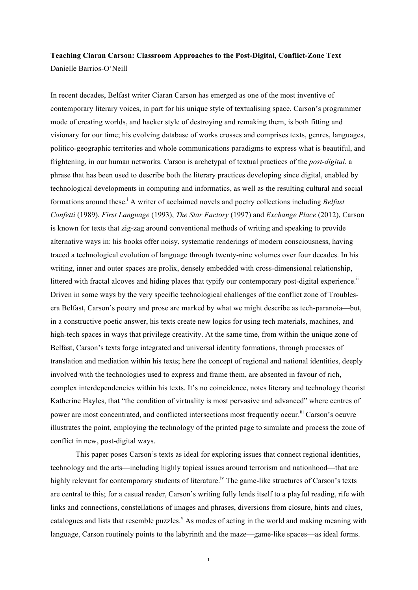# **Teaching Ciaran Carson: Classroom Approaches to the Post-Digital, Conflict-Zone Text** Danielle Barrios-O'Neill

In recent decades, Belfast writer Ciaran Carson has emerged as one of the most inventive of contemporary literary voices, in part for his unique style of textualising space. Carson's programmer mode of creating worlds, and hacker style of destroying and remaking them, is both fitting and visionary for our time; his evolving database of works crosses and comprises texts, genres, languages, politico-geographic territories and whole communications paradigms to express what is beautiful, and frightening, in our human networks. Carson is archetypal of textual practices of the *post-digital*, a phrase that has been used to describe both the literary practices developing since digital, enabled by technological developments in computing and informatics, as well as the resulting cultural and social formations around these.<sup>i</sup> A writer of acclaimed novels and poetry collections including *Belfast Confetti* (1989), *First Language* (1993), *The Star Factory* (1997) and *Exchange Place* (2012), Carson is known for texts that zig-zag around conventional methods of writing and speaking to provide alternative ways in: his books offer noisy, systematic renderings of modern consciousness, having traced a technological evolution of language through twenty-nine volumes over four decades. In his writing, inner and outer spaces are prolix, densely embedded with cross-dimensional relationship, littered with fractal alcoves and hiding places that typify our contemporary post-digital experience. $\mu$ Driven in some ways by the very specific technological challenges of the conflict zone of Troublesera Belfast, Carson's poetry and prose are marked by what we might describe as tech-paranoia—but, in a constructive poetic answer, his texts create new logics for using tech materials, machines, and high-tech spaces in ways that privilege creativity. At the same time, from within the unique zone of Belfast, Carson's texts forge integrated and universal identity formations, through processes of translation and mediation within his texts; here the concept of regional and national identities, deeply involved with the technologies used to express and frame them, are absented in favour of rich, complex interdependencies within his texts. It's no coincidence, notes literary and technology theorist Katherine Hayles, that "the condition of virtuality is most pervasive and advanced" where centres of power are most concentrated, and conflicted intersections most frequently occur.<sup>iii</sup> Carson's oeuvre illustrates the point, employing the technology of the printed page to simulate and process the zone of conflict in new, post-digital ways.

This paper poses Carson's texts as ideal for exploring issues that connect regional identities, technology and the arts—including highly topical issues around terrorism and nationhood—that are highly relevant for contemporary students of literature.<sup>iv</sup> The game-like structures of Carson's texts are central to this; for a casual reader, Carson's writing fully lends itself to a playful reading, rife with links and connections, constellations of images and phrases, diversions from closure, hints and clues, catalogues and lists that resemble puzzles.<sup>v</sup> As modes of acting in the world and making meaning with language, Carson routinely points to the labyrinth and the maze—game-like spaces—as ideal forms.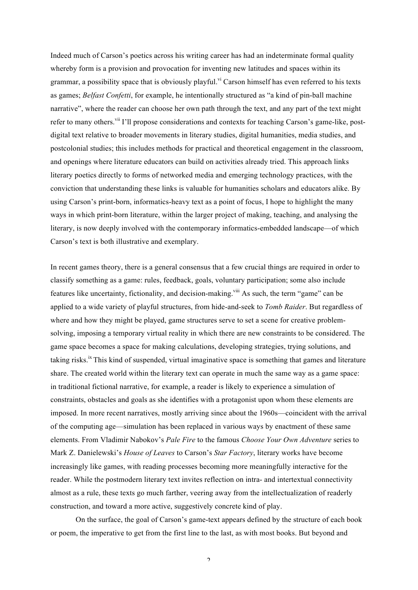Indeed much of Carson's poetics across his writing career has had an indeterminate formal quality whereby form is a provision and provocation for inventing new latitudes and spaces within its grammar, a possibility space that is obviously playful.<sup>vi</sup> Carson himself has even referred to his texts as games; *Belfast Confetti*, for example, he intentionally structured as "a kind of pin-ball machine narrative", where the reader can choose her own path through the text, and any part of the text might refer to many others.<sup>vii</sup> I'll propose considerations and contexts for teaching Carson's game-like, postdigital text relative to broader movements in literary studies, digital humanities, media studies, and postcolonial studies; this includes methods for practical and theoretical engagement in the classroom, and openings where literature educators can build on activities already tried. This approach links literary poetics directly to forms of networked media and emerging technology practices, with the conviction that understanding these links is valuable for humanities scholars and educators alike. By using Carson's print-born, informatics-heavy text as a point of focus, I hope to highlight the many ways in which print-born literature, within the larger project of making, teaching, and analysing the literary, is now deeply involved with the contemporary informatics-embedded landscape—of which Carson's text is both illustrative and exemplary.

In recent games theory, there is a general consensus that a few crucial things are required in order to classify something as a game: rules, feedback, goals, voluntary participation; some also include features like uncertainty, fictionality, and decision-making.<sup>viii</sup> As such, the term "game" can be applied to a wide variety of playful structures, from hide-and-seek to *Tomb Raider*. But regardless of where and how they might be played, game structures serve to set a scene for creative problemsolving, imposing a temporary virtual reality in which there are new constraints to be considered. The game space becomes a space for making calculations, developing strategies, trying solutions, and taking risks.<sup>ix</sup> This kind of suspended, virtual imaginative space is something that games and literature share. The created world within the literary text can operate in much the same way as a game space: in traditional fictional narrative, for example, a reader is likely to experience a simulation of constraints, obstacles and goals as she identifies with a protagonist upon whom these elements are imposed. In more recent narratives, mostly arriving since about the 1960s—coincident with the arrival of the computing age—simulation has been replaced in various ways by enactment of these same elements. From Vladimir Nabokov's *Pale Fire* to the famous *Choose Your Own Adventure* series to Mark Z. Danielewski's *House of Leaves* to Carson's *Star Factory*, literary works have become increasingly like games, with reading processes becoming more meaningfully interactive for the reader. While the postmodern literary text invites reflection on intra- and intertextual connectivity almost as a rule, these texts go much farther, veering away from the intellectualization of readerly construction, and toward a more active, suggestively concrete kind of play.

On the surface, the goal of Carson's game-text appears defined by the structure of each book or poem, the imperative to get from the first line to the last, as with most books. But beyond and

 $\mathcal{L}$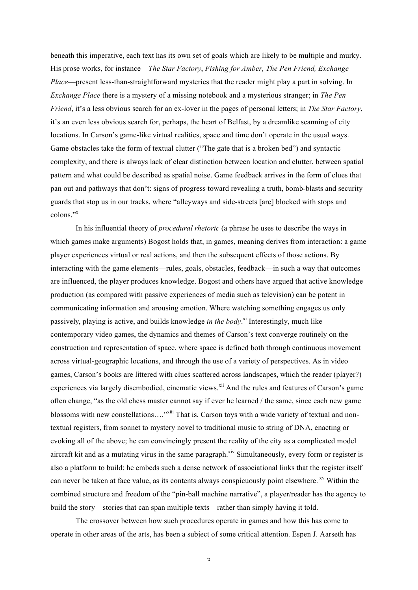beneath this imperative, each text has its own set of goals which are likely to be multiple and murky. His prose works, for instance—*The Star Factory*, *Fishing for Amber, The Pen Friend, Exchange Place*—present less-than-straightforward mysteries that the reader might play a part in solving. In *Exchange Place* there is a mystery of a missing notebook and a mysterious stranger; in *The Pen Friend*, it's a less obvious search for an ex-lover in the pages of personal letters; in *The Star Factory*, it's an even less obvious search for, perhaps, the heart of Belfast, by a dreamlike scanning of city locations. In Carson's game-like virtual realities, space and time don't operate in the usual ways. Game obstacles take the form of textual clutter ("The gate that is a broken bed") and syntactic complexity, and there is always lack of clear distinction between location and clutter, between spatial pattern and what could be described as spatial noise. Game feedback arrives in the form of clues that pan out and pathways that don't: signs of progress toward revealing a truth, bomb-blasts and security guards that stop us in our tracks, where "alleyways and side-streets [are] blocked with stops and colons<sup>"x</sup>

In his influential theory of *procedural rhetoric* (a phrase he uses to describe the ways in which games make arguments) Bogost holds that, in games, meaning derives from interaction: a game player experiences virtual or real actions, and then the subsequent effects of those actions. By interacting with the game elements—rules, goals, obstacles, feedback—in such a way that outcomes are influenced, the player produces knowledge. Bogost and others have argued that active knowledge production (as compared with passive experiences of media such as television) can be potent in communicating information and arousing emotion. Where watching something engages us only passively, playing is active, and builds knowledge *in the body*. xi Interestingly, much like contemporary video games, the dynamics and themes of Carson's text converge routinely on the construction and representation of space, where space is defined both through continuous movement across virtual-geographic locations, and through the use of a variety of perspectives. As in video games, Carson's books are littered with clues scattered across landscapes, which the reader (player?) experiences via largely disembodied, cinematic views.<sup>xii</sup> And the rules and features of Carson's game often change, "as the old chess master cannot say if ever he learned / the same, since each new game blossoms with new constellations...."<sup>xiii</sup> That is, Carson toys with a wide variety of textual and nontextual registers, from sonnet to mystery novel to traditional music to string of DNA, enacting or evoking all of the above; he can convincingly present the reality of the city as a complicated model aircraft kit and as a mutating virus in the same paragraph.<sup>xiv</sup> Simultaneously, every form or register is also a platform to build: he embeds such a dense network of associational links that the register itself can never be taken at face value, as its contents always conspicuously point elsewhere. <sup>xv</sup> Within the combined structure and freedom of the "pin-ball machine narrative", a player/reader has the agency to build the story—stories that can span multiple texts—rather than simply having it told.

The crossover between how such procedures operate in games and how this has come to operate in other areas of the arts, has been a subject of some critical attention. Espen J. Aarseth has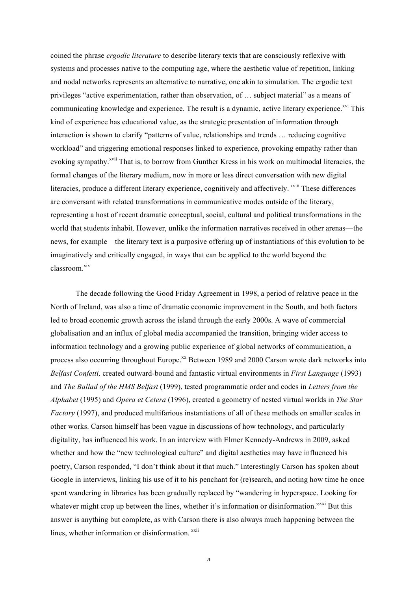coined the phrase *ergodic literature* to describe literary texts that are consciously reflexive with systems and processes native to the computing age, where the aesthetic value of repetition, linking and nodal networks represents an alternative to narrative, one akin to simulation. The ergodic text privileges "active experimentation, rather than observation, of … subject material" as a means of communicating knowledge and experience. The result is a dynamic, active literary experience.<sup>xvi</sup> This kind of experience has educational value, as the strategic presentation of information through interaction is shown to clarify "patterns of value, relationships and trends … reducing cognitive workload" and triggering emotional responses linked to experience, provoking empathy rather than evoking sympathy.<sup>xvii</sup> That is, to borrow from Gunther Kress in his work on multimodal literacies, the formal changes of the literary medium, now in more or less direct conversation with new digital literacies, produce a different literary experience, cognitively and affectively. <sup>xviii</sup> These differences are conversant with related transformations in communicative modes outside of the literary, representing a host of recent dramatic conceptual, social, cultural and political transformations in the world that students inhabit. However, unlike the information narratives received in other arenas—the news, for example—the literary text is a purposive offering up of instantiations of this evolution to be imaginatively and critically engaged, in ways that can be applied to the world beyond the classroom.<sup>xix</sup>

The decade following the Good Friday Agreement in 1998, a period of relative peace in the North of Ireland, was also a time of dramatic economic improvement in the South, and both factors led to broad economic growth across the island through the early 2000s. A wave of commercial globalisation and an influx of global media accompanied the transition, bringing wider access to information technology and a growing public experience of global networks of communication, a process also occurring throughout Europe.<sup>xx</sup> Between 1989 and 2000 Carson wrote dark networks into *Belfast Confetti,* created outward-bound and fantastic virtual environments in *First Language* (1993) and *The Ballad of the HMS Belfast* (1999), tested programmatic order and codes in *Letters from the Alphabet* (1995) and *Opera et Cetera* (1996), created a geometry of nested virtual worlds in *The Star Factory* (1997), and produced multifarious instantiations of all of these methods on smaller scales in other works. Carson himself has been vague in discussions of how technology, and particularly digitality, has influenced his work. In an interview with Elmer Kennedy-Andrews in 2009, asked whether and how the "new technological culture" and digital aesthetics may have influenced his poetry, Carson responded, "I don't think about it that much." Interestingly Carson has spoken about Google in interviews, linking his use of it to his penchant for (re)search, and noting how time he once spent wandering in libraries has been gradually replaced by "wandering in hyperspace. Looking for whatever might crop up between the lines, whether it's information or disinformation."<sup>xxi</sup> But this answer is anything but complete, as with Carson there is also always much happening between the lines, whether information or disinformation. xxii

 $\Lambda$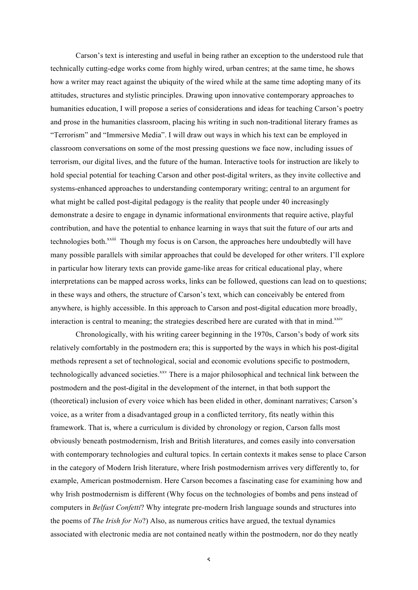Carson's text is interesting and useful in being rather an exception to the understood rule that technically cutting-edge works come from highly wired, urban centres; at the same time, he shows how a writer may react against the ubiquity of the wired while at the same time adopting many of its attitudes, structures and stylistic principles. Drawing upon innovative contemporary approaches to humanities education, I will propose a series of considerations and ideas for teaching Carson's poetry and prose in the humanities classroom, placing his writing in such non-traditional literary frames as "Terrorism" and "Immersive Media". I will draw out ways in which his text can be employed in classroom conversations on some of the most pressing questions we face now, including issues of terrorism, our digital lives, and the future of the human. Interactive tools for instruction are likely to hold special potential for teaching Carson and other post-digital writers, as they invite collective and systems-enhanced approaches to understanding contemporary writing; central to an argument for what might be called post-digital pedagogy is the reality that people under 40 increasingly demonstrate a desire to engage in dynamic informational environments that require active, playful contribution, and have the potential to enhance learning in ways that suit the future of our arts and technologies both.<sup>xxiii</sup> Though my focus is on Carson, the approaches here undoubtedly will have many possible parallels with similar approaches that could be developed for other writers. I'll explore in particular how literary texts can provide game-like areas for critical educational play, where interpretations can be mapped across works, links can be followed, questions can lead on to questions; in these ways and others, the structure of Carson's text, which can conceivably be entered from anywhere, is highly accessible. In this approach to Carson and post-digital education more broadly, interaction is central to meaning; the strategies described here are curated with that in mind. $x<sub>xiv</sub>$ 

Chronologically, with his writing career beginning in the 1970s, Carson's body of work sits relatively comfortably in the postmodern era; this is supported by the ways in which his post-digital methods represent a set of technological, social and economic evolutions specific to postmodern, technologically advanced societies.<sup>xxv</sup> There is a major philosophical and technical link between the postmodern and the post-digital in the development of the internet, in that both support the (theoretical) inclusion of every voice which has been elided in other, dominant narratives; Carson's voice, as a writer from a disadvantaged group in a conflicted territory, fits neatly within this framework. That is, where a curriculum is divided by chronology or region, Carson falls most obviously beneath postmodernism, Irish and British literatures, and comes easily into conversation with contemporary technologies and cultural topics. In certain contexts it makes sense to place Carson in the category of Modern Irish literature, where Irish postmodernism arrives very differently to, for example, American postmodernism. Here Carson becomes a fascinating case for examining how and why Irish postmodernism is different (Why focus on the technologies of bombs and pens instead of computers in *Belfast Confetti*? Why integrate pre-modern Irish language sounds and structures into the poems of *The Irish for No*?) Also, as numerous critics have argued, the textual dynamics associated with electronic media are not contained neatly within the postmodern, nor do they neatly

 $\varsigma$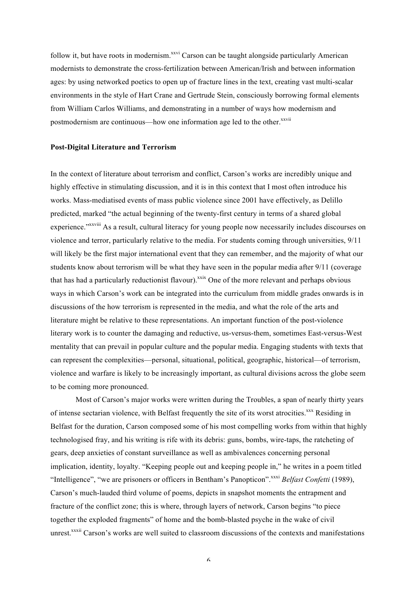follow it, but have roots in modernism.<sup>xxvi</sup> Carson can be taught alongside particularly American modernists to demonstrate the cross-fertilization between American/Irish and between information ages: by using networked poetics to open up of fracture lines in the text, creating vast multi-scalar environments in the style of Hart Crane and Gertrude Stein, consciously borrowing formal elements from William Carlos Williams, and demonstrating in a number of ways how modernism and postmodernism are continuous—how one information age led to the other.<sup>xxvii</sup>

#### **Post-Digital Literature and Terrorism**

In the context of literature about terrorism and conflict, Carson's works are incredibly unique and highly effective in stimulating discussion, and it is in this context that I most often introduce his works. Mass-mediatised events of mass public violence since 2001 have effectively, as Delillo predicted, marked "the actual beginning of the twenty-first century in terms of a shared global experience."<sup>xxviii</sup> As a result, cultural literacy for young people now necessarily includes discourses on violence and terror, particularly relative to the media. For students coming through universities, 9/11 will likely be the first major international event that they can remember, and the majority of what our students know about terrorism will be what they have seen in the popular media after 9/11 (coverage that has had a particularly reductionist flavour).<sup>xxix</sup> One of the more relevant and perhaps obvious ways in which Carson's work can be integrated into the curriculum from middle grades onwards is in discussions of the how terrorism is represented in the media, and what the role of the arts and literature might be relative to these representations. An important function of the post-violence literary work is to counter the damaging and reductive, us-versus-them, sometimes East-versus-West mentality that can prevail in popular culture and the popular media. Engaging students with texts that can represent the complexities—personal, situational, political, geographic, historical—of terrorism, violence and warfare is likely to be increasingly important, as cultural divisions across the globe seem to be coming more pronounced.

Most of Carson's major works were written during the Troubles, a span of nearly thirty years of intense sectarian violence, with Belfast frequently the site of its worst atrocities.<sup>xxx</sup> Residing in Belfast for the duration, Carson composed some of his most compelling works from within that highly technologised fray, and his writing is rife with its debris: guns, bombs, wire-taps, the ratcheting of gears, deep anxieties of constant surveillance as well as ambivalences concerning personal implication, identity, loyalty. "Keeping people out and keeping people in," he writes in a poem titled "Intelligence", "we are prisoners or officers in Bentham's Panopticon".<sup>xxxi</sup> *Belfast Confetti* (1989), Carson's much-lauded third volume of poems, depicts in snapshot moments the entrapment and fracture of the conflict zone; this is where, through layers of network, Carson begins "to piece together the exploded fragments" of home and the bomb-blasted psyche in the wake of civil unrest.<sup>xxxii</sup> Carson's works are well suited to classroom discussions of the contexts and manifestations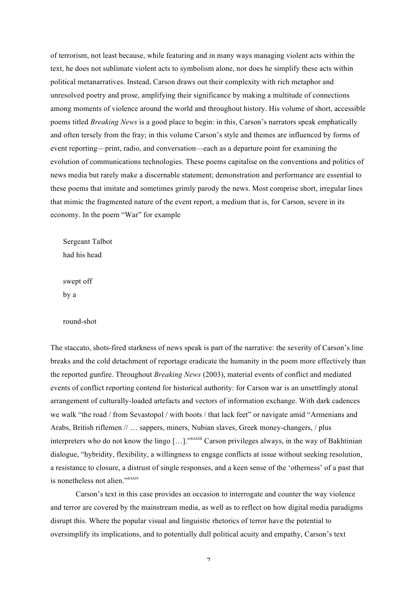of terrorism, not least because, while featuring and in many ways managing violent acts within the text, he does not sublimate violent acts to symbolism alone, nor does he simplify these acts within political metanarratives. Instead, Carson draws out their complexity with rich metaphor and unresolved poetry and prose, amplifying their significance by making a multitude of connections among moments of violence around the world and throughout history. His volume of short, accessible poems titled *Breaking News* is a good place to begin: in this, Carson's narrators speak emphatically and often tersely from the fray; in this volume Carson's style and themes are influenced by forms of event reporting—print, radio, and conversation—each as a departure point for examining the evolution of communications technologies. These poems capitalise on the conventions and politics of news media but rarely make a discernable statement; demonstration and performance are essential to these poems that imitate and sometimes grimly parody the news. Most comprise short, irregular lines that mimic the fragmented nature of the event report, a medium that is, for Carson, severe in its economy. In the poem "War" for example

Sergeant Talbot had his head

swept off by a

round-shot

The staccato, shots-fired starkness of news speak is part of the narrative: the severity of Carson's line breaks and the cold detachment of reportage eradicate the humanity in the poem more effectively than the reported gunfire. Throughout *Breaking News* (2003), material events of conflict and mediated events of conflict reporting contend for historical authority: for Carson war is an unsettlingly atonal arrangement of culturally-loaded artefacts and vectors of information exchange. With dark cadences we walk "the road / from Sevastopol / with boots / that lack feet" or navigate amid "Armenians and Arabs, British riflemen // … sappers, miners, Nubian slaves, Greek money-changers, / plus interpreters who do not know the lingo [...]."<sup>xxxiii</sup> Carson privileges always, in the way of Bakhtinian dialogue, "hybridity, flexibility, a willingness to engage conflicts at issue without seeking resolution, a resistance to closure, a distrust of single responses, and a keen sense of the 'otherness' of a past that is nonetheless not alien." xxxiv

Carson's text in this case provides an occasion to interrogate and counter the way violence and terror are covered by the mainstream media, as well as to reflect on how digital media paradigms disrupt this. Where the popular visual and linguistic rhetorics of terror have the potential to oversimplify its implications, and to potentially dull political acuity and empathy, Carson's text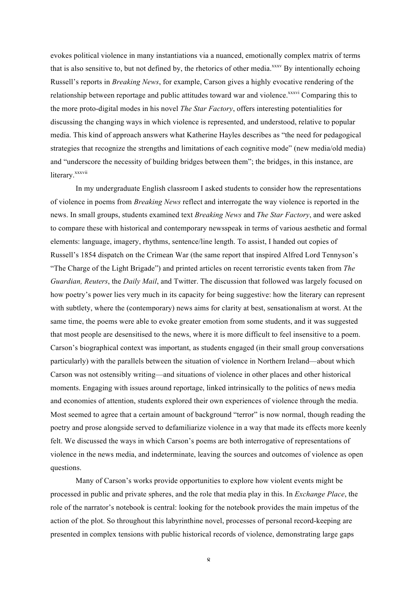evokes political violence in many instantiations via a nuanced, emotionally complex matrix of terms that is also sensitive to, but not defined by, the rhetorics of other media.<sup>xxxv</sup> By intentionally echoing Russell's reports in *Breaking News*, for example, Carson gives a highly evocative rendering of the relationship between reportage and public attitudes toward war and violence.<sup>xxxvi</sup> Comparing this to the more proto-digital modes in his novel *The Star Factory*, offers interesting potentialities for discussing the changing ways in which violence is represented, and understood, relative to popular media. This kind of approach answers what Katherine Hayles describes as "the need for pedagogical strategies that recognize the strengths and limitations of each cognitive mode" (new media/old media) and "underscore the necessity of building bridges between them"; the bridges, in this instance, are literary.<sup>xxxvii</sup>

In my undergraduate English classroom I asked students to consider how the representations of violence in poems from *Breaking News* reflect and interrogate the way violence is reported in the news. In small groups, students examined text *Breaking News* and *The Star Factory*, and were asked to compare these with historical and contemporary newsspeak in terms of various aesthetic and formal elements: language, imagery, rhythms, sentence/line length. To assist, I handed out copies of Russell's 1854 dispatch on the Crimean War (the same report that inspired Alfred Lord Tennyson's "The Charge of the Light Brigade") and printed articles on recent terroristic events taken from *The Guardian, Reuters*, the *Daily Mail*, and Twitter. The discussion that followed was largely focused on how poetry's power lies very much in its capacity for being suggestive: how the literary can represent with subtlety, where the (contemporary) news aims for clarity at best, sensationalism at worst. At the same time, the poems were able to evoke greater emotion from some students, and it was suggested that most people are desensitised to the news, where it is more difficult to feel insensitive to a poem. Carson's biographical context was important, as students engaged (in their small group conversations particularly) with the parallels between the situation of violence in Northern Ireland—about which Carson was not ostensibly writing—and situations of violence in other places and other historical moments. Engaging with issues around reportage, linked intrinsically to the politics of news media and economies of attention, students explored their own experiences of violence through the media. Most seemed to agree that a certain amount of background "terror" is now normal, though reading the poetry and prose alongside served to defamiliarize violence in a way that made its effects more keenly felt. We discussed the ways in which Carson's poems are both interrogative of representations of violence in the news media, and indeterminate, leaving the sources and outcomes of violence as open questions.

Many of Carson's works provide opportunities to explore how violent events might be processed in public and private spheres, and the role that media play in this. In *Exchange Place*, the role of the narrator's notebook is central: looking for the notebook provides the main impetus of the action of the plot. So throughout this labyrinthine novel, processes of personal record-keeping are presented in complex tensions with public historical records of violence, demonstrating large gaps

 $\mathbf{Q}$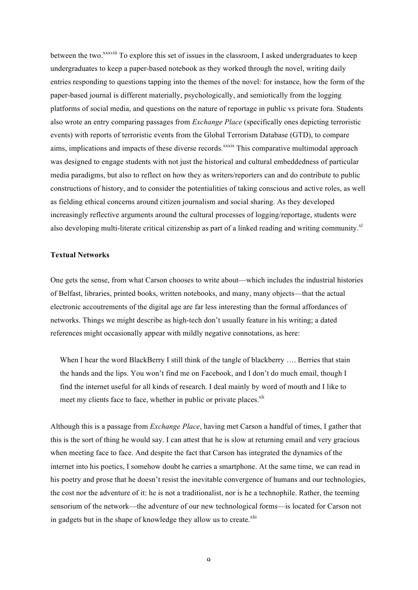between the two.<sup>xxxviii</sup> To explore this set of issues in the classroom, I asked undergraduates to keep undergraduates to keep a paper-based notebook as they worked through the novel, writing daily entries responding to questions tapping into the themes of the novel: for instance, how the form of the paper-based journal is different materially, psychologically, and semiotically from the logging platforms of social media, and questions on the nature of reportage in public vs private fora. Students also wrote an entry comparing passages from *Exchange Place* (specifically ones depicting terroristic events) with reports of terroristic events from the Global Terrorism Database (GTD), to compare aims, implications and impacts of these diverse records.<sup>xxxix</sup> This comparative multimodal approach was designed to engage students with not just the historical and cultural embeddedness of particular media paradigms, but also to reflect on how they as writers/reporters can and do contribute to public constructions of history, and to consider the potentialities of taking conscious and active roles, as well as fielding ethical concerns around citizen journalism and social sharing. As they developed increasingly reflective arguments around the cultural processes of logging/reportage, students were also developing multi-literate critical citizenship as part of a linked reading and writing community.<sup>xl</sup>

## **Textual Networks**

One gets the sense, from what Carson chooses to write about—which includes the industrial histories of Belfast, libraries, printed books, written notebooks, and many, many objects—that the actual electronic accoutrements of the digital age are far less interesting than the formal affordances of networks. Things we might describe as high-tech don't usually feature in his writing; a dated references might occasionally appear with mildly negative connotations, as here:

When I hear the word BlackBerry I still think of the tangle of blackberry .... Berries that stain the hands and the lips. You won't find me on Facebook, and I don't do much email, though I find the internet useful for all kinds of research. I deal mainly by word of mouth and I like to meet my clients face to face, whether in public or private places.<sup>xli</sup>

Although this is a passage from *Exchange Place*, having met Carson a handful of times, I gather that this is the sort of thing he would say. I can attest that he is slow at returning email and very gracious when meeting face to face. And despite the fact that Carson has integrated the dynamics of the internet into his poetics, I somehow doubt he carries a smartphone. At the same time, we can read in his poetry and prose that he doesn't resist the inevitable convergence of humans and our technologies, the cost nor the adventure of it: he is not a traditionalist, nor is he a technophile. Rather, the teeming sensorium of the network—the adventure of our new technological forms—is located for Carson not in gadgets but in the shape of knowledge they allow us to create.<sup>xlii</sup>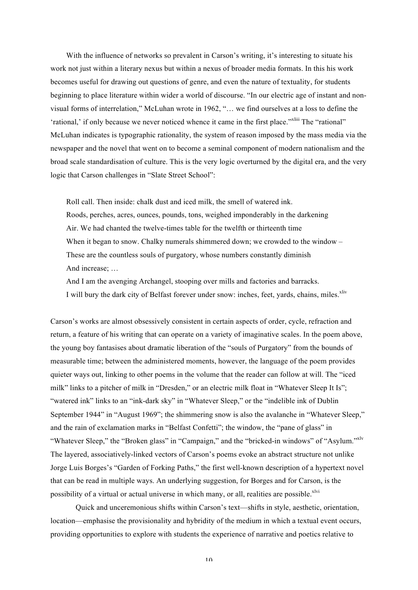With the influence of networks so prevalent in Carson's writing, it's interesting to situate his work not just within a literary nexus but within a nexus of broader media formats. In this his work becomes useful for drawing out questions of genre, and even the nature of textuality, for students beginning to place literature within wider a world of discourse. "In our electric age of instant and nonvisual forms of interrelation," McLuhan wrote in 1962, "… we find ourselves at a loss to define the 'rational,' if only because we never noticed whence it came in the first place."<sup>xliii</sup> The "rational" McLuhan indicates is typographic rationality, the system of reason imposed by the mass media via the newspaper and the novel that went on to become a seminal component of modern nationalism and the broad scale standardisation of culture. This is the very logic overturned by the digital era, and the very logic that Carson challenges in "Slate Street School":

Roll call. Then inside: chalk dust and iced milk, the smell of watered ink. Roods, perches, acres, ounces, pounds, tons, weighed imponderably in the darkening Air. We had chanted the twelve-times table for the twelfth or thirteenth time When it began to snow. Chalky numerals shimmered down; we crowded to the window – These are the countless souls of purgatory, whose numbers constantly diminish And increase; …

And I am the avenging Archangel, stooping over mills and factories and barracks. I will bury the dark city of Belfast forever under snow: inches, feet, yards, chains, miles.<sup>xliv</sup>

Carson's works are almost obsessively consistent in certain aspects of order, cycle, refraction and return, a feature of his writing that can operate on a variety of imaginative scales. In the poem above, the young boy fantasises about dramatic liberation of the "souls of Purgatory" from the bounds of measurable time; between the administered moments, however, the language of the poem provides quieter ways out, linking to other poems in the volume that the reader can follow at will. The "iced milk" links to a pitcher of milk in "Dresden," or an electric milk float in "Whatever Sleep It Is"; "watered ink" links to an "ink-dark sky" in "Whatever Sleep," or the "indelible ink of Dublin September 1944" in "August 1969"; the shimmering snow is also the avalanche in "Whatever Sleep," and the rain of exclamation marks in "Belfast Confetti"; the window, the "pane of glass" in "Whatever Sleep," the "Broken glass" in "Campaign," and the "bricked-in windows" of "Asylum."xlv The layered, associatively-linked vectors of Carson's poems evoke an abstract structure not unlike Jorge Luis Borges's "Garden of Forking Paths," the first well-known description of a hypertext novel that can be read in multiple ways. An underlying suggestion, for Borges and for Carson, is the possibility of a virtual or actual universe in which many, or all, realities are possible.<sup>xlvi</sup>

Quick and unceremonious shifts within Carson's text—shifts in style, aesthetic, orientation, location—emphasise the provisionality and hybridity of the medium in which a textual event occurs, providing opportunities to explore with students the experience of narrative and poetics relative to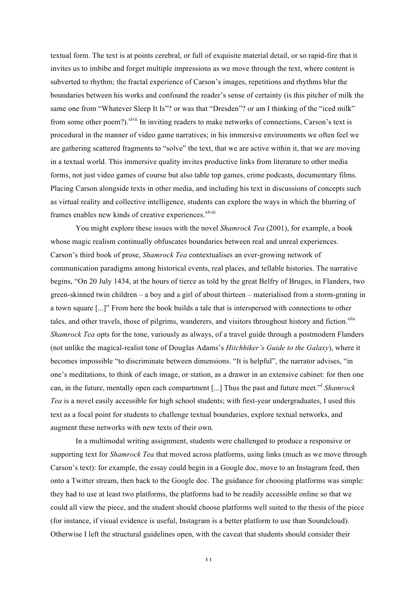textual form. The text is at points cerebral, or full of exquisite material detail, or so rapid-fire that it invites us to imbibe and forget multiple impressions as we move through the text, where content is subverted to rhythm; the fractal experience of Carson's images, repetitions and rhythms blur the boundaries between his works and confound the reader's sense of certainty (is this pitcher of milk the same one from "Whatever Sleep It Is"? or was that "Dresden"? or am I thinking of the "iced milk" from some other poem?).<sup>xlvii</sup> In inviting readers to make networks of connections, Carson's text is procedural in the manner of video game narratives; in his immersive environments we often feel we are gathering scattered fragments to "solve" the text, that we are active within it, that we are moving in a textual world. This immersive quality invites productive links from literature to other media forms, not just video games of course but also table top games, crime podcasts, documentary films. Placing Carson alongside texts in other media, and including his text in discussions of concepts such as virtual reality and collective intelligence, students can explore the ways in which the blurring of frames enables new kinds of creative experiences.<sup>xlviii</sup>

You might explore these issues with the novel *Shamrock Tea* (2001), for example, a book whose magic realism continually obfuscates boundaries between real and unreal experiences. Carson's third book of prose, *Shamrock Tea* contextualises an ever-growing network of communication paradigms among historical events, real places, and tellable histories. The narrative begins, "On 20 July 1434, at the hours of tierce as told by the great Belfry of Bruges, in Flanders, two green-skinned twin children – a boy and a girl of about thirteen – materialised from a storm-grating in a town square [...]" From here the book builds a tale that is interspersed with connections to other tales, and other travels, those of pilgrims, wanderers, and visitors throughout history and fiction.<sup>xlix</sup> *Shamrock Tea* opts for the tone, variously as always, of a travel guide through a postmodern Flanders (not unlike the magical-realist tone of Douglas Adams's *Hitchhiker's Guide to the Galaxy*), where it becomes impossible "to discriminate between dimensions. "It is helpful", the narrator advises, "in one's meditations, to think of each image, or station, as a drawer in an extensive cabinet: for then one can, in the future, mentally open each compartment [...] Thus the past and future meet."<sup>l</sup> *Shamrock Tea* is a novel easily accessible for high school students; with first-year undergraduates, I used this text as a focal point for students to challenge textual boundaries, explore textual networks, and augment these networks with new texts of their own.

In a multimodal writing assignment, students were challenged to produce a responsive or supporting text for *Shamrock Tea* that moved across platforms, using links (much as we move through Carson's text): for example, the essay could begin in a Google doc, move to an Instagram feed, then onto a Twitter stream, then back to the Google doc. The guidance for choosing platforms was simple: they had to use at least two platforms, the platforms had to be readily accessible online so that we could all view the piece, and the student should choose platforms well suited to the thesis of the piece (for instance, if visual evidence is useful, Instagram is a better platform to use than Soundcloud). Otherwise I left the structural guidelines open, with the caveat that students should consider their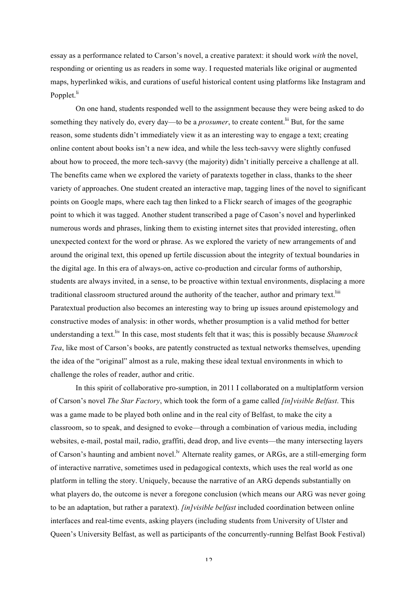essay as a performance related to Carson's novel, a creative paratext: it should work *with* the novel, responding or orienting us as readers in some way. I requested materials like original or augmented maps, hyperlinked wikis, and curations of useful historical content using platforms like Instagram and Popplet.<sup>li</sup>

On one hand, students responded well to the assignment because they were being asked to do something they natively do, every day—to be a *prosumer*, to create content.<sup>lii</sup> But, for the same reason, some students didn't immediately view it as an interesting way to engage a text; creating online content about books isn't a new idea, and while the less tech-savvy were slightly confused about how to proceed, the more tech-savvy (the majority) didn't initially perceive a challenge at all. The benefits came when we explored the variety of paratexts together in class, thanks to the sheer variety of approaches. One student created an interactive map, tagging lines of the novel to significant points on Google maps, where each tag then linked to a Flickr search of images of the geographic point to which it was tagged. Another student transcribed a page of Cason's novel and hyperlinked numerous words and phrases, linking them to existing internet sites that provided interesting, often unexpected context for the word or phrase. As we explored the variety of new arrangements of and around the original text, this opened up fertile discussion about the integrity of textual boundaries in the digital age. In this era of always-on, active co-production and circular forms of authorship, students are always invited, in a sense, to be proactive within textual environments, displacing a more traditional classroom structured around the authority of the teacher, author and primary text.<sup>liii</sup> Paratextual production also becomes an interesting way to bring up issues around epistemology and constructive modes of analysis: in other words, whether prosumption is a valid method for better understanding a text.<sup>liv</sup> In this case, most students felt that it was; this is possibly because *Shamrock Tea*, like most of Carson's books, are patently constructed as textual networks themselves, upending the idea of the "original" almost as a rule, making these ideal textual environments in which to challenge the roles of reader, author and critic.

In this spirit of collaborative pro-sumption, in 2011 I collaborated on a multiplatform version of Carson's novel *The Star Factory*, which took the form of a game called *[in]visible Belfast*. This was a game made to be played both online and in the real city of Belfast, to make the city a classroom, so to speak, and designed to evoke—through a combination of various media, including websites, e-mail, postal mail, radio, graffiti, dead drop, and live events—the many intersecting layers of Carson's haunting and ambient novel.<sup>1v</sup> Alternate reality games, or ARGs, are a still-emerging form of interactive narrative, sometimes used in pedagogical contexts, which uses the real world as one platform in telling the story. Uniquely, because the narrative of an ARG depends substantially on what players do, the outcome is never a foregone conclusion (which means our ARG was never going to be an adaptation, but rather a paratext). *[in]visible belfast* included coordination between online interfaces and real-time events, asking players (including students from University of Ulster and Queen's University Belfast, as well as participants of the concurrently-running Belfast Book Festival)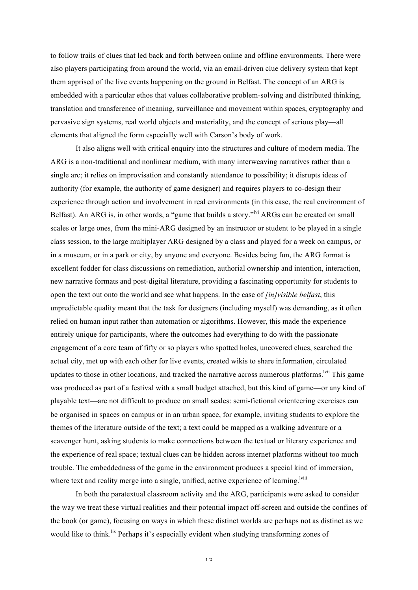to follow trails of clues that led back and forth between online and offline environments. There were also players participating from around the world, via an email-driven clue delivery system that kept them apprised of the live events happening on the ground in Belfast. The concept of an ARG is embedded with a particular ethos that values collaborative problem-solving and distributed thinking, translation and transference of meaning, surveillance and movement within spaces, cryptography and pervasive sign systems, real world objects and materiality, and the concept of serious play—all elements that aligned the form especially well with Carson's body of work.

It also aligns well with critical enquiry into the structures and culture of modern media. The ARG is a non-traditional and nonlinear medium, with many interweaving narratives rather than a single arc; it relies on improvisation and constantly attendance to possibility; it disrupts ideas of authority (for example, the authority of game designer) and requires players to co-design their experience through action and involvement in real environments (in this case, the real environment of Belfast). An ARG is, in other words, a "game that builds a story."<sup>Ivi</sup> ARGs can be created on small scales or large ones, from the mini-ARG designed by an instructor or student to be played in a single class session, to the large multiplayer ARG designed by a class and played for a week on campus, or in a museum, or in a park or city, by anyone and everyone. Besides being fun, the ARG format is excellent fodder for class discussions on remediation, authorial ownership and intention, interaction, new narrative formats and post-digital literature, providing a fascinating opportunity for students to open the text out onto the world and see what happens. In the case of *[in]visible belfast*, this unpredictable quality meant that the task for designers (including myself) was demanding, as it often relied on human input rather than automation or algorithms. However, this made the experience entirely unique for participants, where the outcomes had everything to do with the passionate engagement of a core team of fifty or so players who spotted holes, uncovered clues, searched the actual city, met up with each other for live events, created wikis to share information, circulated updates to those in other locations, and tracked the narrative across numerous platforms.<sup>Ivii</sup> This game was produced as part of a festival with a small budget attached, but this kind of game—or any kind of playable text—are not difficult to produce on small scales: semi-fictional orienteering exercises can be organised in spaces on campus or in an urban space, for example, inviting students to explore the themes of the literature outside of the text; a text could be mapped as a walking adventure or a scavenger hunt, asking students to make connections between the textual or literary experience and the experience of real space; textual clues can be hidden across internet platforms without too much trouble. The embeddedness of the game in the environment produces a special kind of immersion, where text and reality merge into a single, unified, active experience of learning.<sup>Iviii</sup>

In both the paratextual classroom activity and the ARG, participants were asked to consider the way we treat these virtual realities and their potential impact off-screen and outside the confines of the book (or game), focusing on ways in which these distinct worlds are perhaps not as distinct as we would like to think.<sup>lix</sup> Perhaps it's especially evident when studying transforming zones of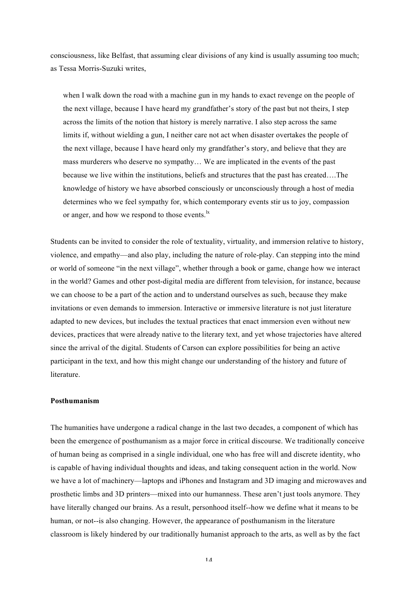consciousness, like Belfast, that assuming clear divisions of any kind is usually assuming too much; as Tessa Morris-Suzuki writes,

when I walk down the road with a machine gun in my hands to exact revenge on the people of the next village, because I have heard my grandfather's story of the past but not theirs, I step across the limits of the notion that history is merely narrative. I also step across the same limits if, without wielding a gun, I neither care not act when disaster overtakes the people of the next village, because I have heard only my grandfather's story, and believe that they are mass murderers who deserve no sympathy… We are implicated in the events of the past because we live within the institutions, beliefs and structures that the past has created….The knowledge of history we have absorbed consciously or unconsciously through a host of media determines who we feel sympathy for, which contemporary events stir us to joy, compassion or anger, and how we respond to those events.

Students can be invited to consider the role of textuality, virtuality, and immersion relative to history, violence, and empathy—and also play, including the nature of role-play. Can stepping into the mind or world of someone "in the next village", whether through a book or game, change how we interact in the world? Games and other post-digital media are different from television, for instance, because we can choose to be a part of the action and to understand ourselves as such, because they make invitations or even demands to immersion. Interactive or immersive literature is not just literature adapted to new devices, but includes the textual practices that enact immersion even without new devices, practices that were already native to the literary text, and yet whose trajectories have altered since the arrival of the digital. Students of Carson can explore possibilities for being an active participant in the text, and how this might change our understanding of the history and future of literature.

### **Posthumanism**

The humanities have undergone a radical change in the last two decades, a component of which has been the emergence of posthumanism as a major force in critical discourse. We traditionally conceive of human being as comprised in a single individual, one who has free will and discrete identity, who is capable of having individual thoughts and ideas, and taking consequent action in the world. Now we have a lot of machinery—laptops and iPhones and Instagram and 3D imaging and microwaves and prosthetic limbs and 3D printers—mixed into our humanness. These aren't just tools anymore. They have literally changed our brains. As a result, personhood itself--how we define what it means to be human, or not--is also changing. However, the appearance of posthumanism in the literature classroom is likely hindered by our traditionally humanist approach to the arts, as well as by the fact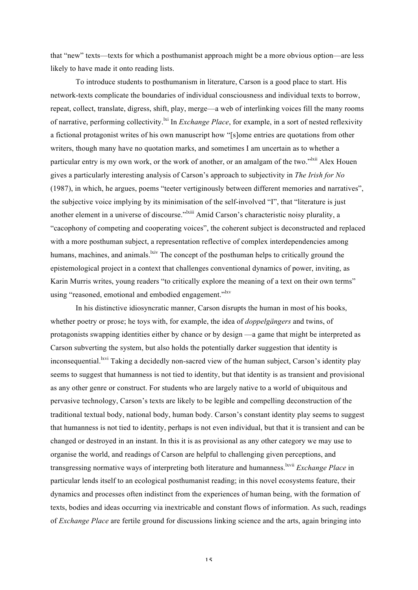that "new" texts—texts for which a posthumanist approach might be a more obvious option—are less likely to have made it onto reading lists.

To introduce students to posthumanism in literature, Carson is a good place to start. His network-texts complicate the boundaries of individual consciousness and individual texts to borrow, repeat, collect, translate, digress, shift, play, merge—a web of interlinking voices fill the many rooms of narrative, performing collectivity.<sup>[xi</sup> In *Exchange Place*, for example, in a sort of nested reflexivity a fictional protagonist writes of his own manuscript how "[s]ome entries are quotations from other writers, though many have no quotation marks, and sometimes I am uncertain as to whether a particular entry is my own work, or the work of another, or an amalgam of the two."<sup>Ixii</sup> Alex Houen gives a particularly interesting analysis of Carson's approach to subjectivity in *The Irish for No* (1987), in which, he argues, poems "teeter vertiginously between different memories and narratives", the subjective voice implying by its minimisation of the self-involved "I", that "literature is just another element in a universe of discourse."<sup>Ixiii</sup> Amid Carson's characteristic noisy plurality, a "cacophony of competing and cooperating voices", the coherent subject is deconstructed and replaced with a more posthuman subject, a representation reflective of complex interdependencies among humans, machines, and animals. <sup>Ixiv</sup> The concept of the posthuman helps to critically ground the epistemological project in a context that challenges conventional dynamics of power, inviting, as Karin Murris writes, young readers "to critically explore the meaning of a text on their own terms" using "reasoned, emotional and embodied engagement."<sup>lxv</sup>

In his distinctive idiosyncratic manner, Carson disrupts the human in most of his books, whether poetry or prose; he toys with, for example, the idea of *doppelgängers* and twins, of protagonists swapping identities either by chance or by design —a game that might be interpreted as Carson subverting the system, but also holds the potentially darker suggestion that identity is inconsequential.<sup>lxvi</sup> Taking a decidedly non-sacred view of the human subject, Carson's identity play seems to suggest that humanness is not tied to identity, but that identity is as transient and provisional as any other genre or construct. For students who are largely native to a world of ubiquitous and pervasive technology, Carson's texts are likely to be legible and compelling deconstruction of the traditional textual body, national body, human body. Carson's constant identity play seems to suggest that humanness is not tied to identity, perhaps is not even individual, but that it is transient and can be changed or destroyed in an instant. In this it is as provisional as any other category we may use to organise the world, and readings of Carson are helpful to challenging given perceptions, and transgressing normative ways of interpreting both literature and humanness.<sup>1xvii</sup> *Exchange Place* in particular lends itself to an ecological posthumanist reading; in this novel ecosystems feature, their dynamics and processes often indistinct from the experiences of human being, with the formation of texts, bodies and ideas occurring via inextricable and constant flows of information. As such, readings of *Exchange Place* are fertile ground for discussions linking science and the arts, again bringing into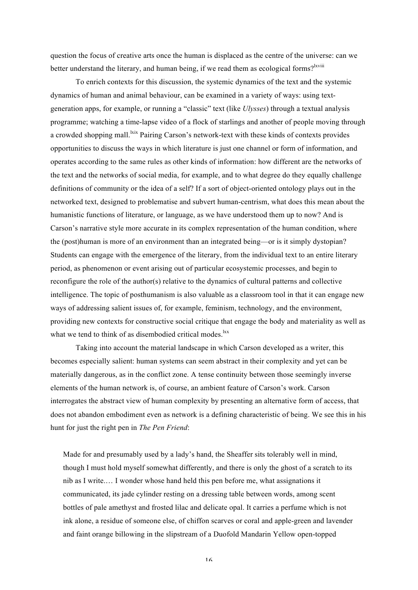question the focus of creative arts once the human is displaced as the centre of the universe: can we better understand the literary, and human being, if we read them as ecological forms?<sup>lxviii</sup>

To enrich contexts for this discussion, the systemic dynamics of the text and the systemic dynamics of human and animal behaviour, can be examined in a variety of ways: using textgeneration apps, for example, or running a "classic" text (like *Ulysses*) through a textual analysis programme; watching a time-lapse video of a flock of starlings and another of people moving through a crowded shopping mall.<sup>Ixix</sup> Pairing Carson's network-text with these kinds of contexts provides opportunities to discuss the ways in which literature is just one channel or form of information, and operates according to the same rules as other kinds of information: how different are the networks of the text and the networks of social media, for example, and to what degree do they equally challenge definitions of community or the idea of a self? If a sort of object-oriented ontology plays out in the networked text, designed to problematise and subvert human-centrism, what does this mean about the humanistic functions of literature, or language, as we have understood them up to now? And is Carson's narrative style more accurate in its complex representation of the human condition, where the (post)human is more of an environment than an integrated being—or is it simply dystopian? Students can engage with the emergence of the literary, from the individual text to an entire literary period, as phenomenon or event arising out of particular ecosystemic processes, and begin to reconfigure the role of the author(s) relative to the dynamics of cultural patterns and collective intelligence. The topic of posthumanism is also valuable as a classroom tool in that it can engage new ways of addressing salient issues of, for example, feminism, technology, and the environment, providing new contexts for constructive social critique that engage the body and materiality as well as what we tend to think of as disembodied critical modes.<sup>Ixx</sup>

Taking into account the material landscape in which Carson developed as a writer, this becomes especially salient: human systems can seem abstract in their complexity and yet can be materially dangerous, as in the conflict zone. A tense continuity between those seemingly inverse elements of the human network is, of course, an ambient feature of Carson's work. Carson interrogates the abstract view of human complexity by presenting an alternative form of access, that does not abandon embodiment even as network is a defining characteristic of being. We see this in his hunt for just the right pen in *The Pen Friend*:

Made for and presumably used by a lady's hand, the Sheaffer sits tolerably well in mind, though I must hold myself somewhat differently, and there is only the ghost of a scratch to its nib as I write.… I wonder whose hand held this pen before me, what assignations it communicated, its jade cylinder resting on a dressing table between words, among scent bottles of pale amethyst and frosted lilac and delicate opal. It carries a perfume which is not ink alone, a residue of someone else, of chiffon scarves or coral and apple-green and lavender and faint orange billowing in the slipstream of a Duofold Mandarin Yellow open-topped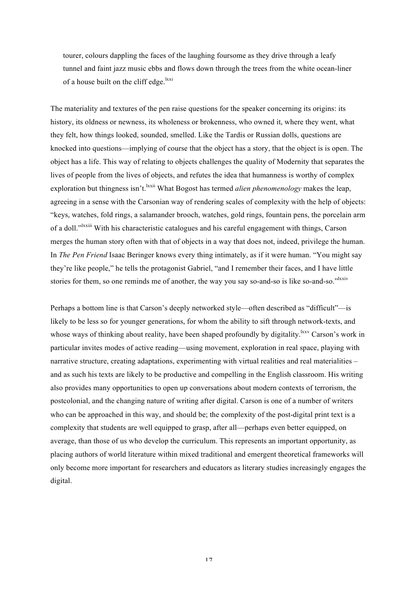tourer, colours dappling the faces of the laughing foursome as they drive through a leafy tunnel and faint jazz music ebbs and flows down through the trees from the white ocean-liner of a house built on the cliff edge. $\frac{lxxi}{dx}$ 

The materiality and textures of the pen raise questions for the speaker concerning its origins: its history, its oldness or newness, its wholeness or brokenness, who owned it, where they went, what they felt, how things looked, sounded, smelled. Like the Tardis or Russian dolls, questions are knocked into questions—implying of course that the object has a story, that the object is is open. The object has a life. This way of relating to objects challenges the quality of Modernity that separates the lives of people from the lives of objects, and refutes the idea that humanness is worthy of complex exploration but thingness isn't.<sup>lxxii</sup> What Bogost has termed *alien phenomenology* makes the leap, agreeing in a sense with the Carsonian way of rendering scales of complexity with the help of objects: "keys, watches, fold rings, a salamander brooch, watches, gold rings, fountain pens, the porcelain arm of a doll."<sup>Ixxiii</sup> With his characteristic catalogues and his careful engagement with things, Carson merges the human story often with that of objects in a way that does not, indeed, privilege the human. In *The Pen Friend* Isaac Beringer knows every thing intimately, as if it were human. "You might say they're like people," he tells the protagonist Gabriel, "and I remember their faces, and I have little stories for them, so one reminds me of another, the way you say so-and-so is like so-and-so."<sup>1xxiv</sup>

Perhaps a bottom line is that Carson's deeply networked style—often described as "difficult"—is likely to be less so for younger generations, for whom the ability to sift through network-texts, and whose ways of thinking about reality, have been shaped profoundly by digitality.<sup>lxxv</sup> Carson's work in particular invites modes of active reading—using movement, exploration in real space, playing with narrative structure, creating adaptations, experimenting with virtual realities and real materialities – and as such his texts are likely to be productive and compelling in the English classroom. His writing also provides many opportunities to open up conversations about modern contexts of terrorism, the postcolonial, and the changing nature of writing after digital. Carson is one of a number of writers who can be approached in this way, and should be; the complexity of the post-digital print text is a complexity that students are well equipped to grasp, after all—perhaps even better equipped, on average, than those of us who develop the curriculum. This represents an important opportunity, as placing authors of world literature within mixed traditional and emergent theoretical frameworks will only become more important for researchers and educators as literary studies increasingly engages the digital.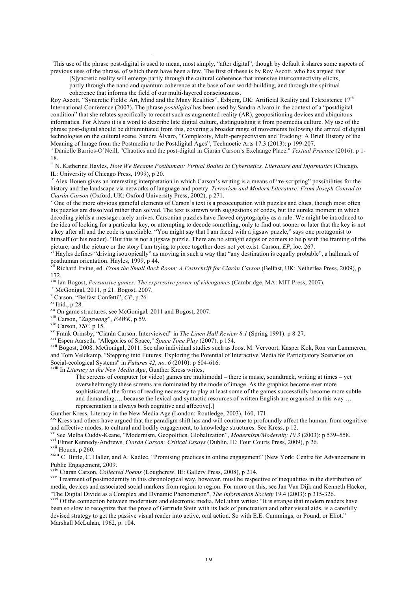<sup>i</sup> This use of the phrase post-digital is used to mean, most simply, "after digital", though by default it shares some aspects of previous uses of the phrase, of which there have been a few. The first of these is by Roy Ascott, who has argued that

[S]yncretic reality will emerge partly through the cultural coherence that intensive interconnectivity elicits, partly through the nano and quantum coherence at the base of our world-building, and through the spiritual coherence that informs the field of our multi-layered consciousness.

Roy Ascott, "Syncretic Fields: Art, Mind and the Many Realities", Esbjerg, DK: Artificial Reality and Telexistence 17<sup>th</sup> International Conference (2007). The phrase *postdigital* has been used by Sandra Álvaro in the context of a "postdigital condition" that she relates specifically to recent such as augmented reality (AR), geopositioning devices and ubiquitous informatics. For Álvaro it is a word to describe late digital culture, distinguishing it from postmedia culture. My use of the phrase post-digital should be differentiated from this, covering a broader range of movements following the arrival of digital technologies on the cultural scene. Sandra Álvaro, "Complexity, Multi-perspectivism and Tracking: A Brief History of the Meaning of Image from the Postmedia to the Postdigital Ages", Technoetic Arts 17.3 (2013): p 199-207.<br><sup>ii</sup> Danielle Barrios-O'Neill, "Chaotics and the post-digital in Ciarán Carson's Exchange Place." *Textual Practice* (20

18.

iio.<br><sup>iii</sup> N. Katherine Hayles, *How We Became Posthuman: Virtual Bodies in Cybernetics, Literature and Informatics* (Chicago, IL: University of Chicago Press, 1999), p 20.

iv Alex Houen gives an interesting interpretation in which Carson's writing is a means of "re-scripting" possibilities for the history and the landscape via networks of language and poetry. *Terrorism and Modern Literature: From Joseph Conrad to* 

<sup>v</sup> One of the more obvious gameful elements of Carson's text is a preoccupation with puzzles and clues, though most often his puzzles are dissolved rather than solved. The text is strewn with suggestions of codes, but the eureka moment in which decoding yields a message rarely arrives. Carsonian puzzles have flawed cryptography as a rule. We might be introduced to the idea of looking for a particular key, or attempting to decode something, only to find out sooner or later that the key is not a key after all and the code is unreliable. "You might say that I am faced with a jigsaw puzzle," says one protagonist to himself (or his reader). "But this is not a jigsaw puzzle. There are no straight edges or corners to help with the framing of the picture; and the picture or the story I am trying to piece together does not yet exist. Cars

Hayles defines "driving isotropically" as moving in such a way that "any destination is equally probable", a hallmark of posthuman orientation. Hayles, 1999, p 44.

<sup>i</sup> Richard Irvine, ed. *From the Small Back Room: A Festschrift for Ciarán Carson* (Belfast, UK: Netherlea Press, 2009), p 172.<br><sup>viii</sup> Ian Bogost, *Persuasive games: The expressive power of videogames* (Cambridge, MA: MIT Press, 2007).

<u> 1989 - Johann Barn, mars eta bainar eta industrial eta baina eta baina eta baina eta baina eta baina eta bain</u>

- 
- 

<sup>ix</sup> McGonigal, 2011, p 21. Bogost, 2007.<br>
<sup>x</sup> Carson, "Belfast Confetti", CP, p 26.<br>
<sup>xi</sup> Ibid., p 28.<br>
<sup>xii</sup> On game structures, see McGonigal, 2011 and Bogost, 2007.<br>
<sup>xiii</sup> Carson, "Zugzwang", FAWK, p 59.<br>
<sup>xiv</sup> Carso and Tom Veldkamp, "Stepping into Futures: Exploring the Potential of Interactive Media for Participatory Scenarios on Social-ecological Systems" in *Futures 42, no. 6* (2010): p 604-616.

Social-ecological Systems" in *Futures 42, no. 6* (2010): p 604-616. xviii In *Literacy in the New Media Age*, Gunther Kress writes,

The screens of computer (or video) games are multimodal – there is music, soundtrack, writing at times – yet overwhelmingly these screens are dominated by the mode of image. As the graphics become ever more sophisticated, the forms of reading necessary to play at least some of the games successfully become more subtle and demanding…. because the lexical and syntactic resources of written English are organised in this way … representation is always both cognitive and affective<sup>[1]</sup> Gunther Kress, Literacy in the New Media Age (London: Routledge, 2003), 160, 171.

<sup>xix</sup> Kress and others have argued that the paradigm shift has and will continue to profoundly affect the human, from cognitive and affective modes, to cultural and bodily engagement, to knowledge structures. See Kress, p 12.<br><sup>xx</sup> See Melba Cuddy-Keane. "Modernism. Geopolitics. Globalization". *Modernism/Modernity 10.3 (2003)*: p 539–558.

xxii Elmer Kennedy-Andrews, *Ciarán Carson: Critical Essays* (Dublin, IE: Four Courts Press, 2009), p 26.<br>
<sup>xxii</sup> Houen, p 260.<br>
<sup>xxiii</sup> C. Bittle, C. Haller, and A. Kadlec, "Promising practices in online engagement" (New Public Engagement, 2009.<br><sup>xxiv</sup> Ciarán Carson, *Collected Poems* (Loughcrew, IE: Gallery Press, 2008), p 214.<br><sup>xxv</sup> Treatment of postmodernity in this chronological way, however, must be respective of inequalities in the d

media, devices and associated social markers from region to region. For more on this, see Jan Van Dijk and Kenneth Hacker, "The Digital Divide as a Complex and Dynamic Phenomenon", *The Information Society* 19.4 (2003): p

xxvi Of the connection between modernism and electronic media, McLuhan writes: "It is strange that modern readers have been so slow to recognize that the prose of Gertrude Stein with its lack of punctuation and other visual aids, is a carefully devised strategy to get the passive visual reader into active, oral action. So with E.E. Cummings, or Pound, or Eliot." Marshall McLuhan, 1962, p. 104.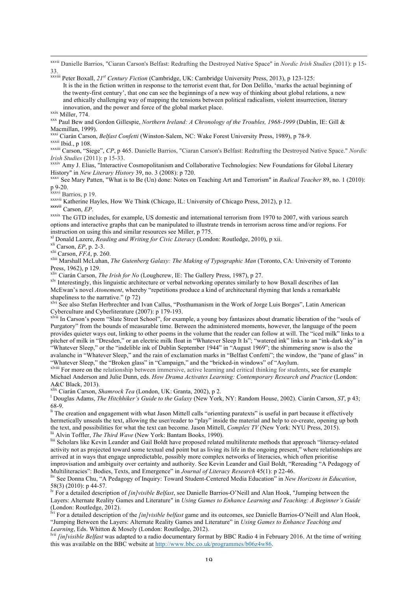<u> 1989 - Johann Stoff, amerikansk fotballstruktur (d. 1989)</u> xxvii Danielle Barrios, "Ciaran Carson's Belfast: Redrafting the Destroyed Native Space" in *Nordic Irish Studies* (2011): p 15- 33.

- xxviii Peter Boxall, *21st Century Fiction* (Cambridge, UK: Cambridge University Press, 2013), p 123-125: It is the in the fiction written in response to the terrorist event that, for Don Delillo, 'marks the actual beginning of the twenty-first century', that one can see the beginnings of a new way of thinking about global relations, a new and ethically challenging way of mapping the tensions between political radicalism, violent insurrection, literary innovation, and the power and force of the global market place.
- 

<sup>xxix</sup> Miller, 774. <br><sup>xxx</sup> Paul Bew and Gordon Gillespie, *Northern Ireland: A Chronology of the Troubles, 1968-1999* (Dublin, IE: Gill & Macmillan, 1999).<br><sup>xxxi</sup> Ciarán Carson, *Belfast Confetti* (Winston-Salem, NC: Wake Forest University Press, 1989), p 78-9.

xxxii Ibid., p 108.<br>xxxiii Carson, "Siege", CP, p 465. Danielle Barrios, "Ciaran Carson's Belfast: Redrafting the Destroyed Native Space." Nordic<br>Irish Studies (2011): p 15-33.

*IXXXIV* Amy J. Elias, "Interactive Cosmopolitanism and Collaborative Technologies: New Foundations for Global Literary

History" in *New Literary History* 39, no. 3 (2008): p 720.<br><sup>xxxv</sup> See Mary Patten, "What is to Be (Un) done: Notes on Teaching Art and Terrorism" in *Radical Teacher* 89, no. 1 (2010):<br>p 9-20.<br><sup>xxxvi</sup> Barrios, p 19.

p 9-20. xxxvi Barrios, p 19. xxxvii Katherine Hayles, How We Think (Chicago, IL: University of Chicago Press, 2012), p 12. xxxviii Carson, *EP*.

xxxix The GTD includes, for example, US domestic and international terrorism from 1970 to 2007, with various search options and interactive graphs that can be manipulated to illustrate trends in terrorism across time and/or regions. For

instruction on using this and similar resources see Miller, p 775.<br>
<sup>x1</sup> Donald Lazere, *Reading and Writing for Civic Literacy* (London: Routledge, 2010), p xii.<br>
<sup>xii</sup> Carson, *EP*, p. 2-3.<br>
<sup>xiii</sup> Carson, *FFA*, p. 260.

xliv Ciarán Carson, *The Irish for No* (Loughcrew, IE: The Gallery Press, 1987), p 27.<br><sup>xlv</sup> Interestingly, this linguistic architecture or verbal networking operates similarly to how Boxall describes of Ian McEwan's novel *Atonement*, whereby "repetitions produce a kind of architectural rhyming that lends a remarkable

shapeliness to the narrative." (p 72)<br>
<sup>xlvi</sup> See also Stefan Herbrechter and Ivan Callus, "Posthumanism in the Work of Jorge Luis Borges", Latin American<br>
Cyberculture and Cyberliterature (2007): p 179-193.

 $\frac{x}{x}$  ivii In Carson's poem "Slate Street School", for example, a young boy fantasizes about dramatic liberation of the "souls of Purgatory" from the bounds of measurable time. Between the administered moments, however, the language of the poem provides quieter ways out, linking to other poems in the volume that the reader can follow at will. The "iced milk" links to a pitcher of milk in "Dresden," or an electric milk float in "Whatever Sleep It Is"; "watered ink" links to an "ink-dark sky" in "Whatever Sleep," or the "indelible ink of Dublin September 1944" in "August 1969"; the shimmering snow is also the avalanche in "Whatever Sleep," and the rain of exclamation marks in "Belfast Confetti"; the window, the "pane of glass" in

"Whatever Sleep," the "Broken glass" in "Campaign," and the "bricked-in windows" of "Asylum.<br><sup>xlviii</sup> For more on the relationship between immersive, active learning and critical thinking for students, see for example Michael Anderson and Julie Dunn, eds. *How Drama Activates Learning: Contemporary Research and Practice* (London: A&C Black, 2013).

x<sup>lix</sup> Ciarán Carson, *Shamrock Tea* (London, UK: Granta, 2002), p 2.<br><sup>1</sup> Douglas Adams, *The Hitchhikar's Guide to the Galam* (Now York

Douglas Adams, *The Hitchhiker's Guide to the Galaxy* (New York, NY: Random House, 2002). Ciarán Carson, *ST*, p 43;

68-9.  $\frac{1}{11}$  The creation and engagement with what Jason Mittell calls "orienting paratexts" is useful in part because it effectively hermetically unseals the text, allowing the user/reader to "play" inside the material and help to co-create, opening up both the text, and possibilities for what the text can become. Jason Mittell, *Complex TV* (New York:

<sup>lii</sup> Alvin Toffler, *The Third Wave* (New York: Bantam Books, 1990).<br><sup>lii</sup> Scholars like Kevin Leander and Gail Boldt have proposed related multiliterate methods that approach "literacy-related activity not as projected toward some textual end point but as living its life in the ongoing present," where relationships are arrived at in ways that engage unpredictable, possibly more complex networks of literacies, which often prioritise

improvisation and ambiguity over certainty and authority. See Kevin Leander and Gail Boldt, "Rereading "A Pedagogy of Multiliteracies": Bodies, Texts, and Emergence" in Journal of Literacy Research 45(1): p 22-46.

liv See Donna Chu, "A Pedagogy of Inquiry: Toward Student-Centered Media Education<sup>"</sup> in *New Horizons in Education*, 58(3) (2010): p 44-57.<br><sup>Iv</sup> For a detailed description of *[in]visible Belfast*, see Danielle Barrios-O'Neill and Alan Hook, "Jumping between the

Layers: Alternate Reality Games and Literature" in *Using Games to Enhance Learning and Teaching: A Beginner's Guide*  (London: Routledge, 2012).<br><sup>lvi</sup> For a detailed description of the *[in]visible belfast* game and its outcomes, see Danielle Barrios-O'Neill and Alan Hook,

"Jumping Between the Layers: Alternate Reality Games and Literature" in *Using Games to Enhance Teaching and Learning*, Eds. Whitton & Mosely (London: Routledge, 2012).<br><sup>Ivii</sup> *[in]visible Belfast* was adapted to a radio documentary format by BBC Radio 4 in February 2016. At the time of writing

this was available on the BBC website at http://www.bbc.co.uk/programmes/b06z4w86.